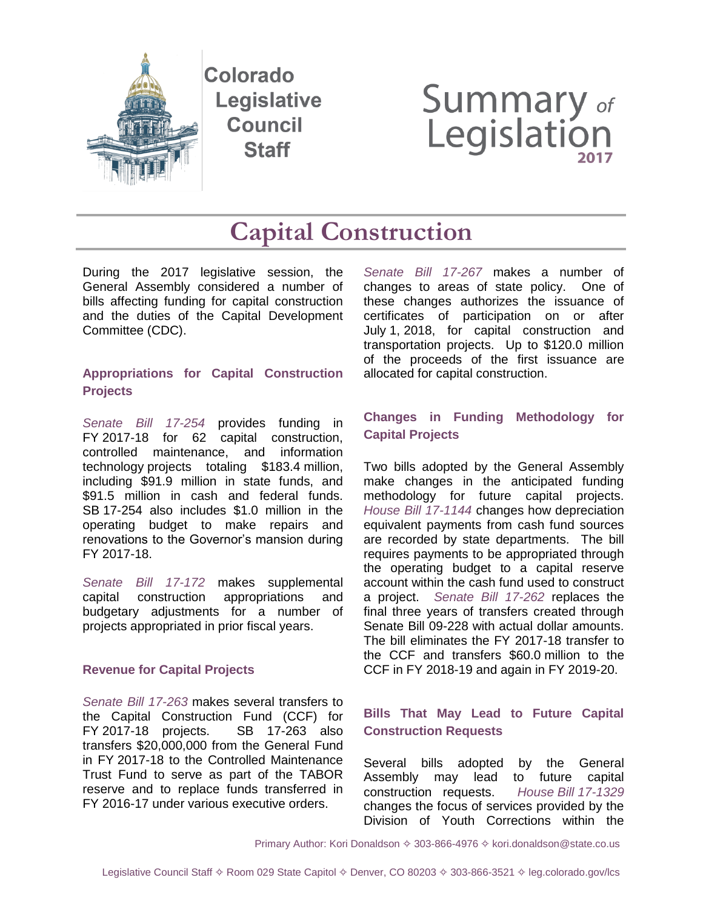

Colorado **Legislative Council Staff** 

# **Summary of**<br>Legislation

## **Capital Construction**

During the 2017 legislative session, the General Assembly considered a number of bills affecting funding for capital construction and the duties of the Capital Development Committee (CDC).

#### **Appropriations for Capital Construction Projects**

*[Senate Bill 17-254](http://leg.colorado.gov/sites/default/files/documents/2017A/bills/2017a_uucap_act.pdf)* provides funding in FY 2017-18 for 62 capital construction, controlled maintenance, and information technology projects totaling \$183.4 million, including \$91.9 million in state funds, and \$91.5 million in cash and federal funds. SB 17-254 also includes \$1.0 million in the operating budget to make repairs and renovations to the Governor's mansion during FY 2017-18.

*[Senate Bill 17-172](http://leg.colorado.gov/bills/sb17-172)* makes supplemental capital construction appropriations and budgetary adjustments for a number of projects appropriated in prior fiscal years.

#### **Revenue for Capital Projects**

*[Senate Bill 17-263](http://leg.colorado.gov/bills/sb17-263)* makes several transfers to the Capital Construction Fund (CCF) for FY 2017-18 projects. SB 17-263 also transfers \$20,000,000 from the General Fund in FY 2017-18 to the Controlled Maintenance Trust Fund to serve as part of the TABOR reserve and to replace funds transferred in FY 2016-17 under various executive orders.

*[Senate Bill 17-267](http://leg.colorado.gov/bills/sb17-267)* makes a number of changes to areas of state policy. One of these changes authorizes the issuance of certificates of participation on or after July 1, 2018, for capital construction and transportation projects. Up to \$120.0 million of the proceeds of the first issuance are allocated for capital construction.

#### **Changes in Funding Methodology for Capital Projects**

Two bills adopted by the General Assembly make changes in the anticipated funding methodology for future capital projects. *[House Bill 17-1144](http://leg.colorado.gov/bills/hb17-1144)* changes how depreciation equivalent payments from cash fund sources are recorded by state departments. The bill requires payments to be appropriated through the operating budget to a capital reserve account within the cash fund used to construct a project. *[Senate Bill 17-262](http://leg.colorado.gov/bills/sb17-262)* replaces the final three years of transfers created through Senate Bill 09-228 with actual dollar amounts. The bill eliminates the FY 2017-18 transfer to the CCF and transfers \$60.0 million to the CCF in FY 2018-19 and again in FY 2019-20.

#### **Bills That May Lead to Future Capital Construction Requests**

Several bills adopted by the General Assembly may lead to future capital construction requests. *House Bill [17-1329](http://leg.colorado.gov/bills/hb17-1329)* changes the focus of services provided by the Division of Youth Corrections within the

Primary Author: Kori Donaldson  $\diamond$  303-866-4976  $\diamond$  kori.donaldson@state.co.us